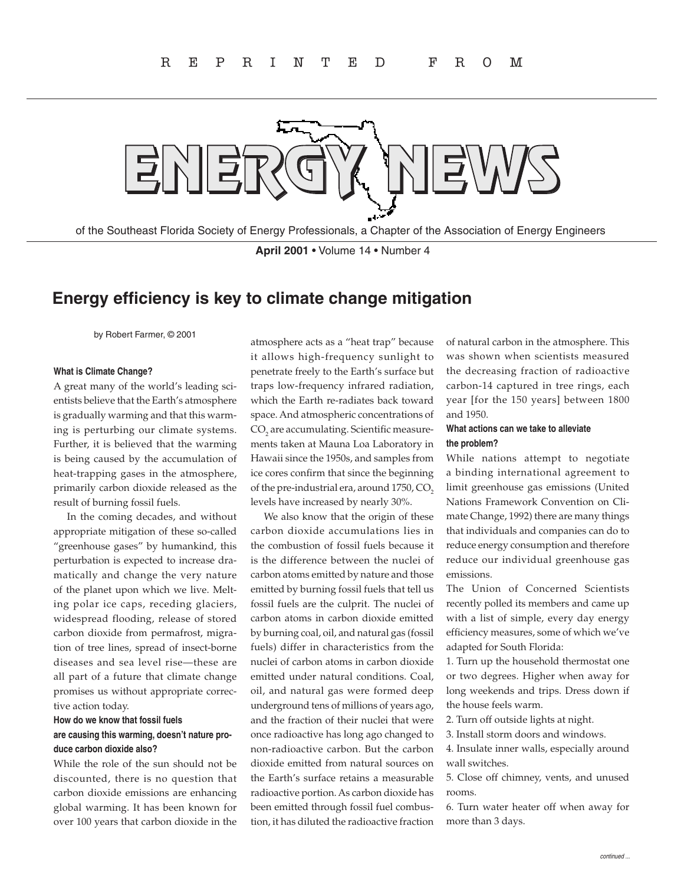

of the Southeast Florida Society of Energy Professionals, a Chapter of the Association of Energy Engineers

**April 2001** • Volume 14 • Number 4

## **Energy efficiency is key to climate change mitigation**

by Robert Farmer, © 2001

#### **What is Climate Change?**

A great many of the world's leading scientists believe that the Earth's atmosphere is gradually warming and that this warming is perturbing our climate systems. Further, it is believed that the warming is being caused by the accumulation of heat-trapping gases in the atmosphere, primarily carbon dioxide released as the result of burning fossil fuels.

In the coming decades, and without appropriate mitigation of these so-called "greenhouse gases" by humankind, this perturbation is expected to increase dramatically and change the very nature of the planet upon which we live. Melting polar ice caps, receding glaciers, widespread flooding, release of stored carbon dioxide from permafrost, migration of tree lines, spread of insect-borne diseases and sea level rise—these are all part of a future that climate change promises us without appropriate corrective action today.

### **How do we know that fossil fuels are causing this warming, doesn't nature produce carbon dioxide also?**

While the role of the sun should not be discounted, there is no question that carbon dioxide emissions are enhancing global warming. It has been known for over 100 years that carbon dioxide in the

atmosphere acts as a "heat trap" because it allows high-frequency sunlight to penetrate freely to the Earth's surface but traps low-frequency infrared radiation, which the Earth re-radiates back toward space. And atmospheric concentrations of  $\mathrm{CO}_2$  are accumulating. Scientific measurements taken at Mauna Loa Laboratory in Hawaii since the 1950s, and samples from ice cores confirm that since the beginning of the pre-industrial era, around  $1750$ ,  $CO<sub>2</sub>$ levels have increased by nearly 30%.

We also know that the origin of these carbon dioxide accumulations lies in the combustion of fossil fuels because it is the difference between the nuclei of carbon atoms emitted by nature and those emitted by burning fossil fuels that tell us fossil fuels are the culprit. The nuclei of carbon atoms in carbon dioxide emitted by burning coal, oil, and natural gas (fossil fuels) differ in characteristics from the nuclei of carbon atoms in carbon dioxide emitted under natural conditions. Coal, oil, and natural gas were formed deep underground tens of millions of years ago, and the fraction of their nuclei that were once radioactive has long ago changed to non-radioactive carbon. But the carbon dioxide emitted from natural sources on the Earth's surface retains a measurable radioactive portion. As carbon dioxide has been emitted through fossil fuel combustion, it has diluted the radioactive fraction

of natural carbon in the atmosphere. This was shown when scientists measured the decreasing fraction of radioactive carbon-14 captured in tree rings, each year [for the 150 years] between 1800 and 1950.

### **What actions can we take to alleviate the problem?**

While nations attempt to negotiate a binding international agreement to limit greenhouse gas emissions (United Nations Framework Convention on Climate Change, 1992) there are many things that individuals and companies can do to reduce energy consumption and therefore reduce our individual greenhouse gas emissions.

The Union of Concerned Scientists recently polled its members and came up with a list of simple, every day energy efficiency measures, some of which we've adapted for South Florida:

1. Turn up the household thermostat one or two degrees. Higher when away for long weekends and trips. Dress down if the house feels warm.

2. Turn off outside lights at night.

3. Install storm doors and windows.

4. Insulate inner walls, especially around wall switches.

5. Close off chimney, vents, and unused rooms.

6. Turn water heater off when away for more than 3 days.